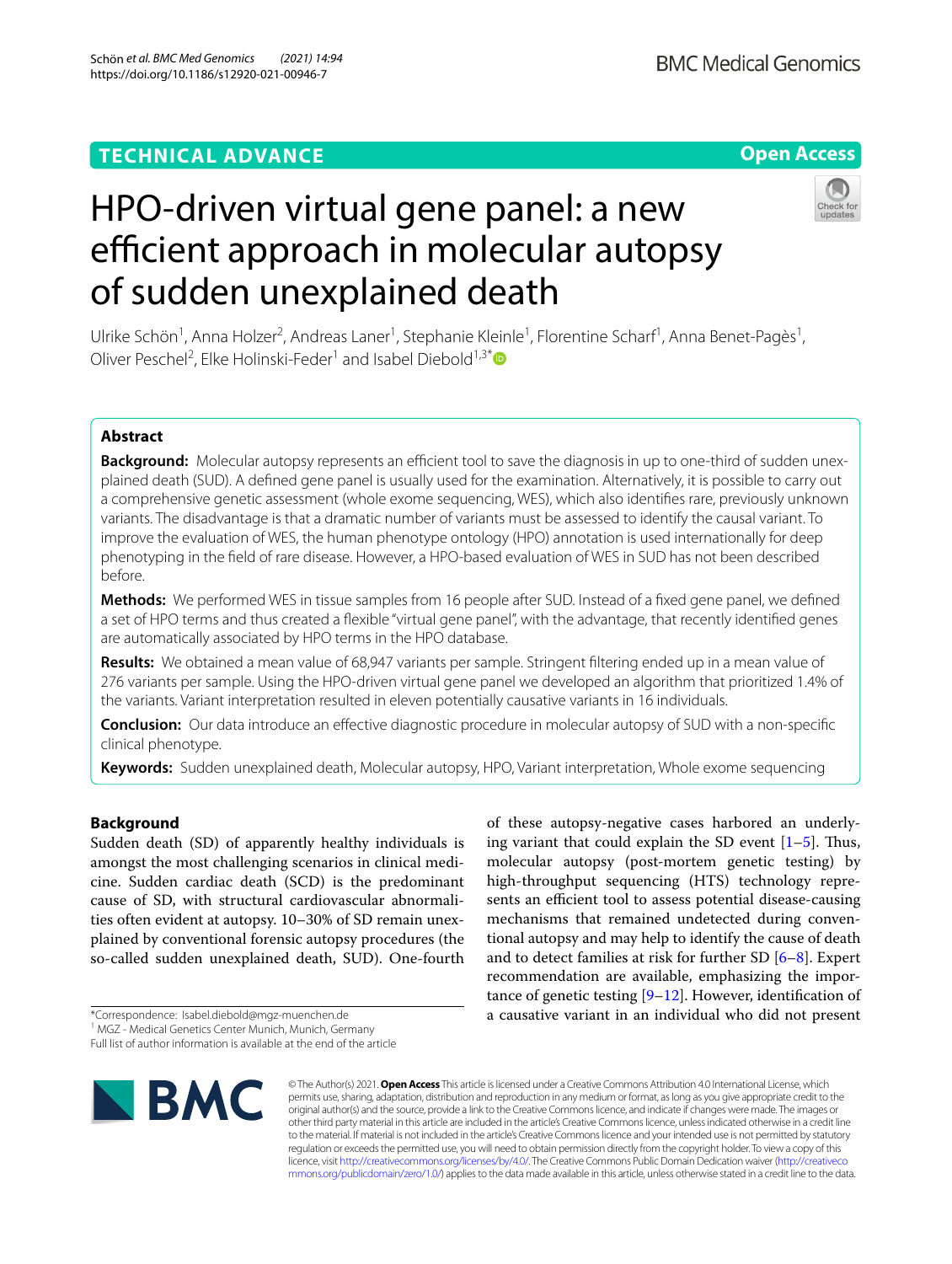## **TECHNICAL ADVANCE**





# HPO-driven virtual gene panel: a new efficient approach in molecular autopsy of sudden unexplained death

Ulrike Schön<sup>1</sup>, Anna Holzer<sup>2</sup>, Andreas Laner<sup>1</sup>, Stephanie Kleinle<sup>1</sup>, Florentine Scharf<sup>1</sup>, Anna Benet-Pagès<sup>1</sup>, Oliver Peschel<sup>2</sup>, Elke Holinski-Feder<sup>1</sup> and Isabel Diebold<sup>1,3[\\*](http://orcid.org/0000-0002-1753-563X)</sup>

## **Abstract**

**Background:** Molecular autopsy represents an efficient tool to save the diagnosis in up to one-third of sudden unexplained death (SUD). A defned gene panel is usually used for the examination. Alternatively, it is possible to carry out a comprehensive genetic assessment (whole exome sequencing, WES), which also identifes rare, previously unknown variants. The disadvantage is that a dramatic number of variants must be assessed to identify the causal variant. To improve the evaluation of WES, the human phenotype ontology (HPO) annotation is used internationally for deep phenotyping in the feld of rare disease. However, a HPO-based evaluation of WES in SUD has not been described before.

**Methods:** We performed WES in tissue samples from 16 people after SUD. Instead of a fxed gene panel, we defned a set of HPO terms and thus created a fexible "virtual gene panel", with the advantage, that recently identifed genes are automatically associated by HPO terms in the HPO database.

**Results:** We obtained a mean value of 68,947 variants per sample. Stringent fltering ended up in a mean value of 276 variants per sample. Using the HPO-driven virtual gene panel we developed an algorithm that prioritized 1.4% of the variants. Variant interpretation resulted in eleven potentially causative variants in 16 individuals.

**Conclusion:** Our data introduce an efective diagnostic procedure in molecular autopsy of SUD with a non-specifc clinical phenotype.

**Keywords:** Sudden unexplained death, Molecular autopsy, HPO, Variant interpretation, Whole exome sequencing

## **Background**

Sudden death (SD) of apparently healthy individuals is amongst the most challenging scenarios in clinical medicine. Sudden cardiac death (SCD) is the predominant cause of SD, with structural cardiovascular abnormalities often evident at autopsy. 10–30% of SD remain unexplained by conventional forensic autopsy procedures (the so-called sudden unexplained death, SUD). One-fourth

Full list of author information is available at the end of the article



© The Author(s) 2021. **Open Access** This article is licensed under a Creative Commons Attribution 4.0 International License, which permits use, sharing, adaptation, distribution and reproduction in any medium or format, as long as you give appropriate credit to the original author(s) and the source, provide a link to the Creative Commons licence, and indicate if changes were made. The images or other third party material in this article are included in the article's Creative Commons licence, unless indicated otherwise in a credit line to the material. If material is not included in the article's Creative Commons licence and your intended use is not permitted by statutory regulation or exceeds the permitted use, you will need to obtain permission directly from the copyright holder. To view a copy of this licence, visit [http://creativecommons.org/licenses/by/4.0/.](http://creativecommons.org/licenses/by/4.0/) The Creative Commons Public Domain Dedication waiver ([http://creativeco](http://creativecommons.org/publicdomain/zero/1.0/) [mmons.org/publicdomain/zero/1.0/](http://creativecommons.org/publicdomain/zero/1.0/)) applies to the data made available in this article, unless otherwise stated in a credit line to the data.

of these autopsy-negative cases harbored an underlying variant that could explain the SD event  $[1-5]$  $[1-5]$  $[1-5]$ . Thus, molecular autopsy (post-mortem genetic testing) by high-throughput sequencing (HTS) technology represents an efficient tool to assess potential disease-causing mechanisms that remained undetected during conventional autopsy and may help to identify the cause of death and to detect families at risk for further SD [\[6](#page-7-2)[–8](#page-8-0)]. Expert recommendation are available, emphasizing the importance of genetic testing  $[9-12]$  $[9-12]$ . However, identification of a causative variant in an individual who did not present

<sup>\*</sup>Correspondence: Isabel.diebold@mgz-muenchen.de

<sup>&</sup>lt;sup>1</sup> MGZ - Medical Genetics Center Munich, Munich, Germany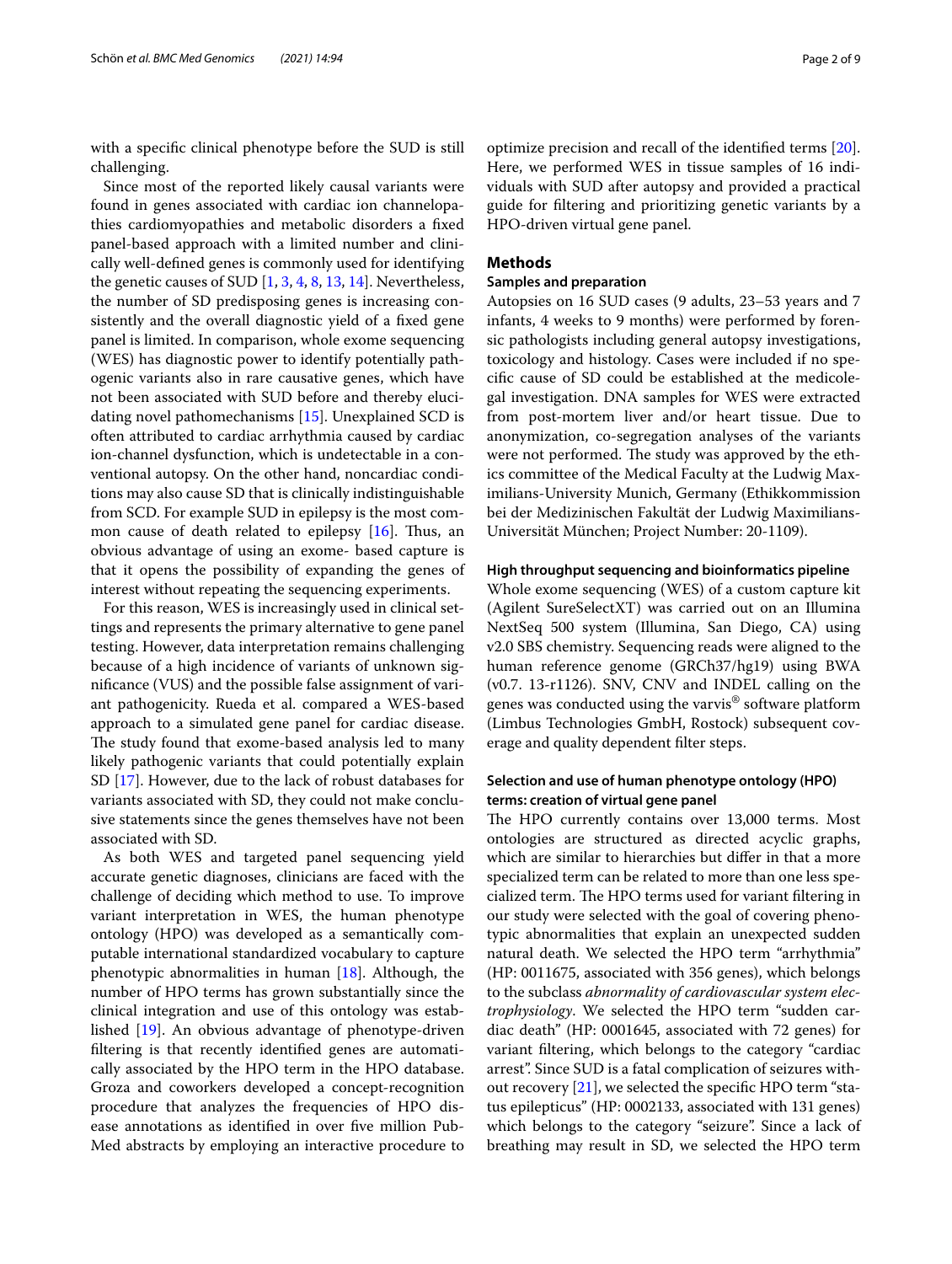with a specifc clinical phenotype before the SUD is still challenging.

Since most of the reported likely causal variants were found in genes associated with cardiac ion channelopathies cardiomyopathies and metabolic disorders a fxed panel-based approach with a limited number and clinically well-defned genes is commonly used for identifying the genetic causes of SUD [[1,](#page-7-0) [3](#page-7-3), [4](#page-7-4), [8,](#page-8-0) [13,](#page-8-3) [14\]](#page-8-4). Nevertheless, the number of SD predisposing genes is increasing consistently and the overall diagnostic yield of a fxed gene panel is limited. In comparison, whole exome sequencing (WES) has diagnostic power to identify potentially pathogenic variants also in rare causative genes, which have not been associated with SUD before and thereby elucidating novel pathomechanisms [[15\]](#page-8-5). Unexplained SCD is often attributed to cardiac arrhythmia caused by cardiac ion-channel dysfunction, which is undetectable in a conventional autopsy. On the other hand, noncardiac conditions may also cause SD that is clinically indistinguishable from SCD. For example SUD in epilepsy is the most common cause of death related to epilepsy  $[16]$  $[16]$ . Thus, an obvious advantage of using an exome- based capture is that it opens the possibility of expanding the genes of interest without repeating the sequencing experiments.

For this reason, WES is increasingly used in clinical settings and represents the primary alternative to gene panel testing. However, data interpretation remains challenging because of a high incidence of variants of unknown signifcance (VUS) and the possible false assignment of variant pathogenicity. Rueda et al. compared a WES-based approach to a simulated gene panel for cardiac disease. The study found that exome-based analysis led to many likely pathogenic variants that could potentially explain SD [[17\]](#page-8-7). However, due to the lack of robust databases for variants associated with SD, they could not make conclusive statements since the genes themselves have not been associated with SD.

As both WES and targeted panel sequencing yield accurate genetic diagnoses, clinicians are faced with the challenge of deciding which method to use. To improve variant interpretation in WES, the human phenotype ontology (HPO) was developed as a semantically computable international standardized vocabulary to capture phenotypic abnormalities in human  $[18]$  $[18]$ . Although, the number of HPO terms has grown substantially since the clinical integration and use of this ontology was established [\[19](#page-8-9)]. An obvious advantage of phenotype-driven fltering is that recently identifed genes are automatically associated by the HPO term in the HPO database. Groza and coworkers developed a concept-recognition procedure that analyzes the frequencies of HPO disease annotations as identifed in over fve million Pub-Med abstracts by employing an interactive procedure to optimize precision and recall of the identifed terms [\[20](#page-8-10)]. Here, we performed WES in tissue samples of 16 individuals with SUD after autopsy and provided a practical guide for fltering and prioritizing genetic variants by a HPO-driven virtual gene panel.

## **Methods**

## **Samples and preparation**

Autopsies on 16 SUD cases (9 adults, 23–53 years and 7 infants, 4 weeks to 9 months) were performed by forensic pathologists including general autopsy investigations, toxicology and histology. Cases were included if no specifc cause of SD could be established at the medicolegal investigation. DNA samples for WES were extracted from post-mortem liver and/or heart tissue. Due to anonymization, co-segregation analyses of the variants were not performed. The study was approved by the ethics committee of the Medical Faculty at the Ludwig Maximilians-University Munich, Germany (Ethikkommission bei der Medizinischen Fakultät der Ludwig Maximilians-Universität München; Project Number: 20-1109).

### **High throughput sequencing and bioinformatics pipeline**

Whole exome sequencing (WES) of a custom capture kit (Agilent SureSelectXT) was carried out on an Illumina NextSeq 500 system (Illumina, San Diego, CA) using v2.0 SBS chemistry. Sequencing reads were aligned to the human reference genome (GRCh37/hg19) using BWA (v0.7. 13-r1126). SNV, CNV and INDEL calling on the genes was conducted using the varvis® software platform (Limbus Technologies GmbH, Rostock) subsequent coverage and quality dependent flter steps.

## **Selection and use of human phenotype ontology (HPO) terms: creation of virtual gene panel**

The HPO currently contains over 13,000 terms. Most ontologies are structured as directed acyclic graphs, which are similar to hierarchies but difer in that a more specialized term can be related to more than one less specialized term. The HPO terms used for variant filtering in our study were selected with the goal of covering phenotypic abnormalities that explain an unexpected sudden natural death. We selected the HPO term "arrhythmia" (HP: 0011675, associated with 356 genes), which belongs to the subclass *abnormality of cardiovascular system electrophysiology*. We selected the HPO term "sudden cardiac death" (HP: 0001645, associated with 72 genes) for variant fltering, which belongs to the category "cardiac arrest". Since SUD is a fatal complication of seizures without recovery  $[21]$  $[21]$ , we selected the specific HPO term "status epilepticus" (HP: 0002133, associated with 131 genes) which belongs to the category "seizure". Since a lack of breathing may result in SD, we selected the HPO term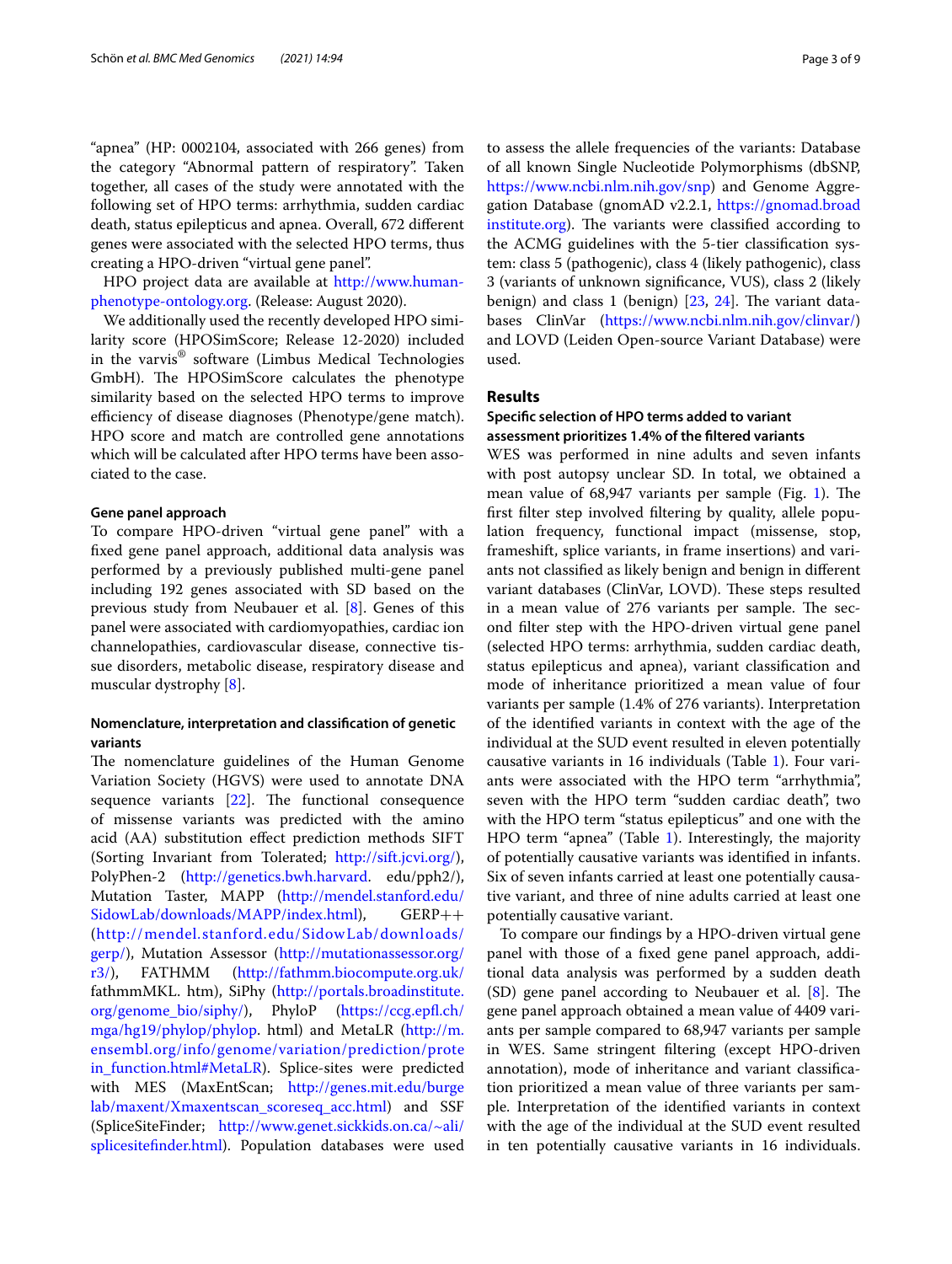"apnea" (HP: 0002104, associated with 266 genes) from the category "Abnormal pattern of respiratory". Taken together, all cases of the study were annotated with the following set of HPO terms: arrhythmia, sudden cardiac death, status epilepticus and apnea. Overall, 672 diferent genes were associated with the selected HPO terms, thus creating a HPO-driven "virtual gene panel".

HPO project data are available at [http://www.human](http://www.human-phenotype-ontology.org)[phenotype-ontology.org](http://www.human-phenotype-ontology.org). (Release: August 2020).

We additionally used the recently developed HPO similarity score (HPOSimScore; Release 12-2020) included in the varvis® software (Limbus Medical Technologies GmbH). The HPOSimScore calculates the phenotype similarity based on the selected HPO terms to improve efficiency of disease diagnoses (Phenotype/gene match). HPO score and match are controlled gene annotations which will be calculated after HPO terms have been associated to the case.

### **Gene panel approach**

To compare HPO-driven "virtual gene panel" with a fxed gene panel approach, additional data analysis was performed by a previously published multi-gene panel including 192 genes associated with SD based on the previous study from Neubauer et al. [\[8](#page-8-0)]. Genes of this panel were associated with cardiomyopathies, cardiac ion channelopathies, cardiovascular disease, connective tissue disorders, metabolic disease, respiratory disease and muscular dystrophy [\[8](#page-8-0)].

## **Nomenclature, interpretation and classifcation of genetic variants**

The nomenclature guidelines of the Human Genome Variation Society (HGVS) were used to annotate DNA sequence variants  $[22]$  $[22]$ . The functional consequence of missense variants was predicted with the amino acid (AA) substitution efect prediction methods SIFT (Sorting Invariant from Tolerated; <http://sift.jcvi.org/>), PolyPhen-2 [\(http://genetics.bwh.harvard](http://genetics.bwh.harvard). edu/pph2/), Mutation Taster, MAPP ([http://mendel.stanford.edu/](http://mendel.stanford.edu/SidowLab/downloads/MAPP/index.html) [SidowLab/downloads/MAPP/index.html\)](http://mendel.stanford.edu/SidowLab/downloads/MAPP/index.html), GERP++ ([http://mendel.stanford.edu/SidowLab/downloads/](http://mendel.stanford.edu/SidowLab/downloads/gerp/) [gerp/\)](http://mendel.stanford.edu/SidowLab/downloads/gerp/), Mutation Assessor ([http://mutationassessor.org/](http://mutationassessor.org/r3/) [r3/\)](http://mutationassessor.org/r3/), FATHMM (<http://fathmm.biocompute.org.uk/> fathmmMKL. htm), SiPhy [\(http://portals.broadinstitute.](http://portals.broadinstitute.org/genome_bio/siphy/) [org/genome\\_bio/siphy/](http://portals.broadinstitute.org/genome_bio/siphy/)), PhyloP [\(https://ccg.epf.ch/](https://ccg.epfl.ch/mga/hg19/phylop/phylop) [mga/hg19/phylop/phylop.](https://ccg.epfl.ch/mga/hg19/phylop/phylop) html) and MetaLR ([http://m.](http://m.ensembl.org/info/genome/variation/prediction/protein_function.html#MetaLR) [ensembl.org/info/genome/variation/prediction/prote](http://m.ensembl.org/info/genome/variation/prediction/protein_function.html#MetaLR) [in\\_function.html#MetaLR\)](http://m.ensembl.org/info/genome/variation/prediction/protein_function.html#MetaLR). Splice-sites were predicted with MES (MaxEntScan; [http://genes.mit.edu/burge](http://genes.mit.edu/burgelab/maxent/Xmaxentscan_scoreseq_acc.html) [lab/maxent/Xmaxentscan\\_scoreseq\\_acc.html](http://genes.mit.edu/burgelab/maxent/Xmaxentscan_scoreseq_acc.html)) and SSF (SpliceSiteFinder; [http://www.genet.sickkids.on.ca/~ali/](http://www.genet.sickkids.on.ca/~ali/splicesitefinder.html) [splicesitefnder.html](http://www.genet.sickkids.on.ca/~ali/splicesitefinder.html)). Population databases were used to assess the allele frequencies of the variants: Database of all known Single Nucleotide Polymorphisms (dbSNP, [https://www.ncbi.nlm.nih.gov/snp\)](https://www.ncbi.nlm.nih.gov/snp) and Genome Aggregation Database (gnomAD v2.2.1, [https://gnomad.broad](https://gnomad.broadinstitute.org) [institute.org](https://gnomad.broadinstitute.org)). The variants were classified according to the ACMG guidelines with the 5-tier classifcation system: class 5 (pathogenic), class 4 (likely pathogenic), class 3 (variants of unknown signifcance, VUS), class 2 (likely benign) and class 1 (benign)  $[23, 24]$  $[23, 24]$  $[23, 24]$  $[23, 24]$ . The variant databases ClinVar (<https://www.ncbi.nlm.nih.gov/clinvar/>) and LOVD (Leiden Open-source Variant Database) were used.

## **Results**

## **Specifc selection of HPO terms added to variant assessment prioritizes 1.4% of the fltered variants**

WES was performed in nine adults and seven infants with post autopsy unclear SD. In total, we obtained a mean value of 68,947 variants per sample (Fig. [1\)](#page-3-0). The frst flter step involved fltering by quality, allele population frequency, functional impact (missense, stop, frameshift, splice variants, in frame insertions) and variants not classifed as likely benign and benign in diferent variant databases (ClinVar, LOVD). These steps resulted in a mean value of 276 variants per sample. The second flter step with the HPO-driven virtual gene panel (selected HPO terms: arrhythmia, sudden cardiac death, status epilepticus and apnea), variant classifcation and mode of inheritance prioritized a mean value of four variants per sample (1.4% of 276 variants). Interpretation of the identifed variants in context with the age of the individual at the SUD event resulted in eleven potentially causative variants in 16 individuals (Table [1](#page-4-0)). Four variants were associated with the HPO term "arrhythmia", seven with the HPO term "sudden cardiac death", two with the HPO term "status epilepticus" and one with the HPO term "apnea" (Table [1](#page-4-0)). Interestingly, the majority of potentially causative variants was identifed in infants. Six of seven infants carried at least one potentially causative variant, and three of nine adults carried at least one potentially causative variant.

To compare our fndings by a HPO-driven virtual gene panel with those of a fxed gene panel approach, additional data analysis was performed by a sudden death (SD) gene panel according to Neubauer et al.  $[8]$  $[8]$ . The gene panel approach obtained a mean value of 4409 variants per sample compared to 68,947 variants per sample in WES. Same stringent fltering (except HPO-driven annotation), mode of inheritance and variant classifcation prioritized a mean value of three variants per sample. Interpretation of the identifed variants in context with the age of the individual at the SUD event resulted in ten potentially causative variants in 16 individuals.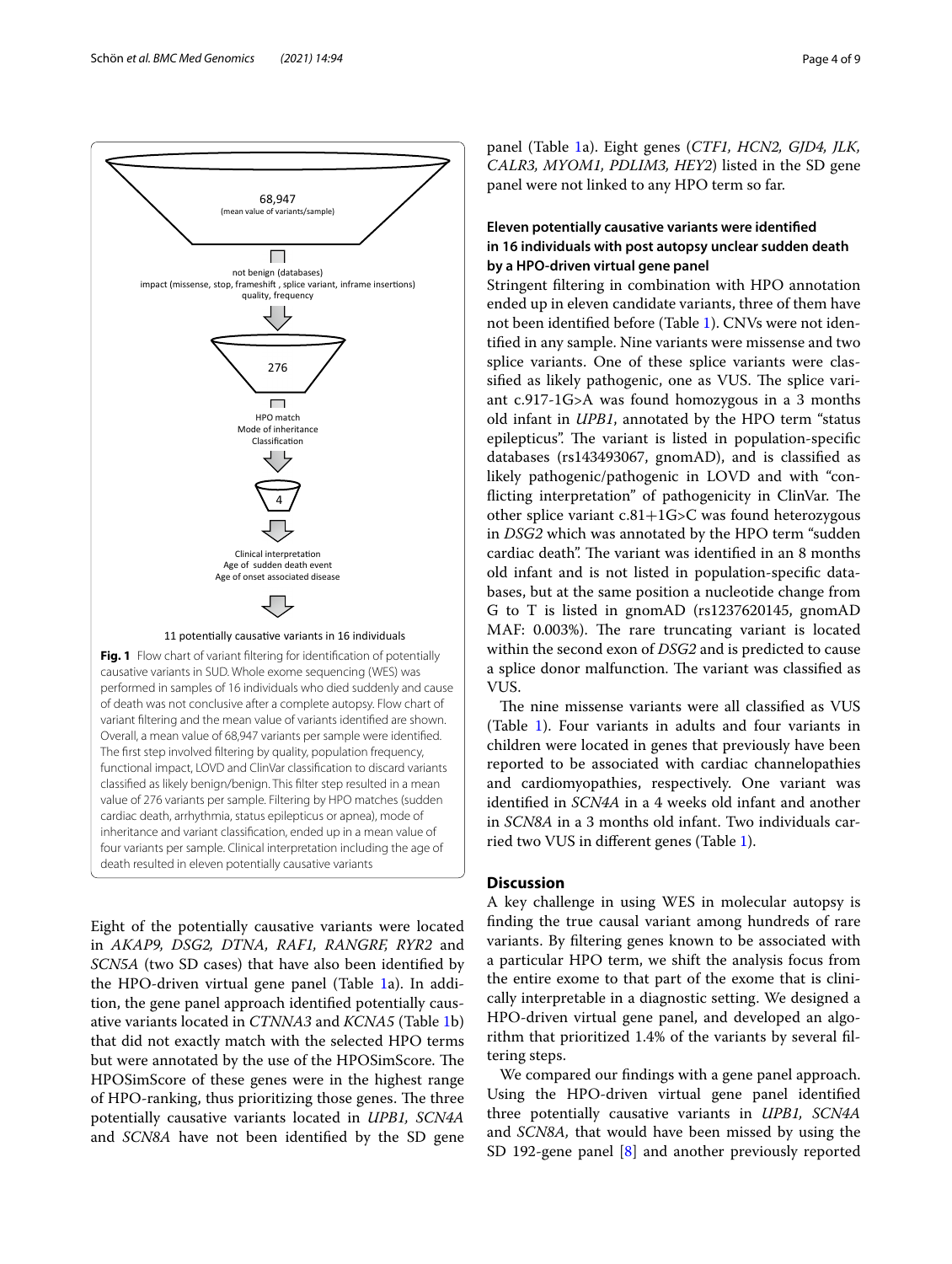

<span id="page-3-0"></span>value of 276 variants per sample. Filtering by HPO matches (sudden cardiac death, arrhythmia, status epilepticus or apnea), mode of inheritance and variant classifcation, ended up in a mean value of four variants per sample. Clinical interpretation including the age of death resulted in eleven potentially causative variants

Eight of the potentially causative variants were located in *AKAP9, DSG2, DTNA, RAF1, RANGRF, RYR2* and *SCN5A* (two SD cases) that have also been identifed by the HPO-driven virtual gene panel (Table [1a](#page-4-0)). In addition, the gene panel approach identifed potentially causative variants located in *CTNNA3* and *KCNA5* (Table [1](#page-4-0)b) that did not exactly match with the selected HPO terms but were annotated by the use of the HPOSimScore. The HPOSimScore of these genes were in the highest range of HPO-ranking, thus prioritizing those genes. The three potentially causative variants located in *UPB1, SCN4A* and *SCN8A* have not been identifed by the SD gene panel (Table [1](#page-4-0)a). Eight genes (*CTF1, HCN2, GJD4, JLK, CALR3, MYOM1, PDLIM3, HEY2*) listed in the SD gene panel were not linked to any HPO term so far.

## **Eleven potentially causative variants were identifed in 16 individuals with post autopsy unclear sudden death by a HPO‑driven virtual gene panel**

Stringent fltering in combination with HPO annotation ended up in eleven candidate variants, three of them have not been identifed before (Table [1\)](#page-4-0). CNVs were not identifed in any sample. Nine variants were missense and two splice variants. One of these splice variants were classified as likely pathogenic, one as VUS. The splice variant c.917-1G>A was found homozygous in a 3 months old infant in *UPB1*, annotated by the HPO term "status epilepticus". The variant is listed in population-specific databases (rs143493067, gnomAD), and is classifed as likely pathogenic/pathogenic in LOVD and with "conflicting interpretation" of pathogenicity in ClinVar. The other splice variant c.81+1G>C was found heterozygous in *DSG2* which was annotated by the HPO term "sudden cardiac death". The variant was identified in an 8 months old infant and is not listed in population-specifc databases, but at the same position a nucleotide change from G to T is listed in gnomAD (rs1237620145, gnomAD MAF: 0.003%). The rare truncating variant is located within the second exon of *DSG2* and is predicted to cause a splice donor malfunction. The variant was classified as VUS.

The nine missense variants were all classified as VUS (Table [1\)](#page-4-0). Four variants in adults and four variants in children were located in genes that previously have been reported to be associated with cardiac channelopathies and cardiomyopathies, respectively. One variant was identifed in *SCN4A* in a 4 weeks old infant and another in *SCN8A* in a 3 months old infant. Two individuals carried two VUS in diferent genes (Table [1\)](#page-4-0).

## **Discussion**

A key challenge in using WES in molecular autopsy is fnding the true causal variant among hundreds of rare variants. By fltering genes known to be associated with a particular HPO term, we shift the analysis focus from the entire exome to that part of the exome that is clinically interpretable in a diagnostic setting. We designed a HPO-driven virtual gene panel, and developed an algorithm that prioritized 1.4% of the variants by several fltering steps.

We compared our fndings with a gene panel approach. Using the HPO-driven virtual gene panel identifed three potentially causative variants in *UPB1, SCN4A* and *SCN8A,* that would have been missed by using the SD 192-gene panel [[8\]](#page-8-0) and another previously reported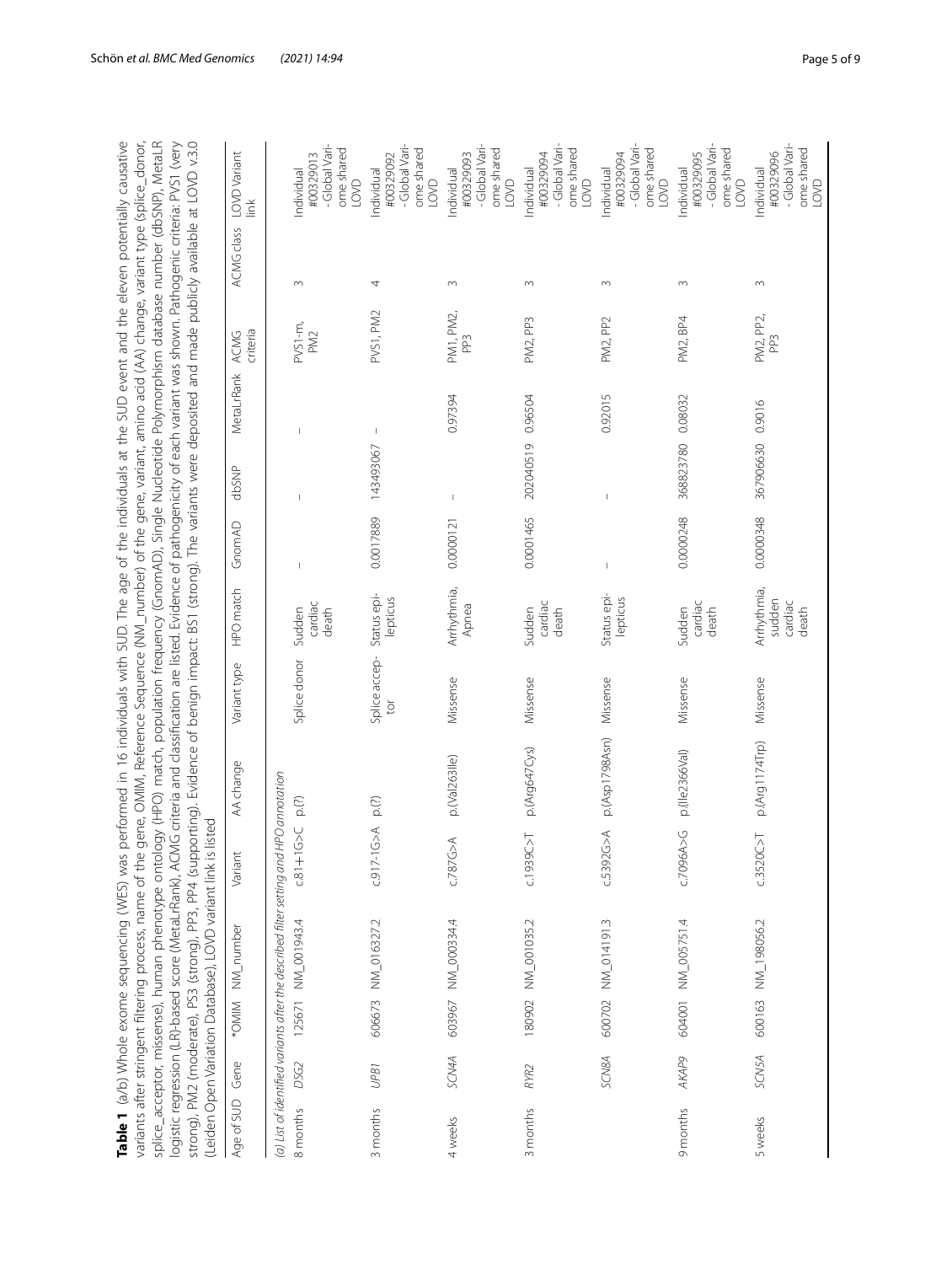<span id="page-4-0"></span>

|            |                  | splice_acceptor, missense), human phenotype ontology (HPO) match, population frequency (GnomAD), Single Nucleotide Polymorphism database number (dbSNP), MetaLR<br>strong), PM2 (moderate), PS3 (strong), PP4 (supporting). Evidence of benign impact: BS1 (strong). The variants were deposited and made publicly available at LOVD v.3.0<br>logistic regression (LR)-based score (MetaLrRank), ACMG criteria and classification are listed. Evidence of pathogenicity of each variant was shown. Pathogenic criteria: PVS1 (very<br>variants after stringent filtering process, name of the<br>(Leiden Open Variation Database), LOVD variant link is<br>Table 1 (a/b) Whole exome sequencing (WES) was | listed                                                 | gene, OMIM, Reference Sequence (NM_number) of the gene, variant, amino acid (AA) change, variant type (splice_donor,<br>performed in 16 individuals with SUD. The age of the individuals at the SUD event and the eleven potentially causative |                    |                                           |           |           |            |                              |                   |                                                                |
|------------|------------------|-----------------------------------------------------------------------------------------------------------------------------------------------------------------------------------------------------------------------------------------------------------------------------------------------------------------------------------------------------------------------------------------------------------------------------------------------------------------------------------------------------------------------------------------------------------------------------------------------------------------------------------------------------------------------------------------------------------|--------------------------------------------------------|------------------------------------------------------------------------------------------------------------------------------------------------------------------------------------------------------------------------------------------------|--------------------|-------------------------------------------|-----------|-----------|------------|------------------------------|-------------------|----------------------------------------------------------------|
| Age of SUD | Gene             | *OMIM NM_number                                                                                                                                                                                                                                                                                                                                                                                                                                                                                                                                                                                                                                                                                           | Variant                                                | AA change                                                                                                                                                                                                                                      | Variant type       | HPO match                                 | GnomAD    | dbSNP     | MetaLrRank | criteria<br>ACMG             | <b>ACMG</b> class | LOVD Variant<br>Ě                                              |
| 8 months   | DSG2             | (a) List of identified variants after the described filter setting and<br>125671 NM_001943.4                                                                                                                                                                                                                                                                                                                                                                                                                                                                                                                                                                                                              | $\frac{1}{2}$<br>$-81 + 1$                             | HPO annotation<br>$p_{\cdot}(?)$                                                                                                                                                                                                               | Splice donor       | cardiac<br>Sudden<br>death                |           |           |            | $-0.51$<br>PM <sub>2</sub>   | 3                 | -Global Vari-<br>ome shared<br>#00329013<br>Individual<br>LOVD |
| 3 months   | UPB1             | 606673 NM_016327.2                                                                                                                                                                                                                                                                                                                                                                                                                                                                                                                                                                                                                                                                                        | $\begin{matrix} 1 \\ 2 \\ 3 \end{matrix}$<br>$C.917-1$ | p.(?)                                                                                                                                                                                                                                          | Splice accep-<br>ð | Status epi-<br>lepticus                   | 0.0017889 | 143493067 |            | PVS1, PM2                    | 4                 | -Global Vari-<br>ome shared<br>#00329092<br>ndividual<br>LOVD  |
| 4 weeks    | SCN4A            | 603967 NM_000334.4                                                                                                                                                                                                                                                                                                                                                                                                                                                                                                                                                                                                                                                                                        | c.787G > A                                             | p.(Val263lle)                                                                                                                                                                                                                                  | Missense           | Arrhythmia,<br>Apnea                      | 0.0000121 |           | 0.97394    | PM1, PM2,<br>PP <sub>3</sub> | $\sim$            | -Global Vari-<br>ome shared<br>#00329093<br>Individual<br>LOVD |
| 3 months   | RYR <sub>2</sub> | 180902 NM_001035.2                                                                                                                                                                                                                                                                                                                                                                                                                                                                                                                                                                                                                                                                                        | C.1939C > T                                            | p.(Arg647Cys)                                                                                                                                                                                                                                  | Missense           | cardiac<br>Sudden<br>death                | 0.0001465 | 202040519 | 0.96504    | PM2, PP3                     | $\sim$            | -Global Vari-<br>ome shared<br>#00329094<br>Individual<br>LOVD |
|            | SCN8A            | 600702 NM_014191.3                                                                                                                                                                                                                                                                                                                                                                                                                                                                                                                                                                                                                                                                                        | $\widetilde{\mathcal{L}}$<br>c.5392C                   | p.(Asp1798Asn)                                                                                                                                                                                                                                 | Missense           | Status epi-<br>lepticus                   |           |           | 0.92015    | PM2, PP2                     | $\sim$            | -Global Vari-<br>ome shared<br>#00329094<br>Individual<br>LOVD |
| 9 months   | <b>AKAP9</b>     | 604001 NM_005751.4                                                                                                                                                                                                                                                                                                                                                                                                                                                                                                                                                                                                                                                                                        | C.7096A > G                                            | p.(Ile2366Val)                                                                                                                                                                                                                                 | Missense           | cardiac<br>Sudden<br>death                | 0.0000248 | 368823780 | 0.08032    | PM2, BP4                     | $\sim$            | -Global Vari-<br>ome shared<br>#00329095<br>Individual<br>LOVD |
| 5 weeks    | SCN5A            | 600163 NM_198056.2                                                                                                                                                                                                                                                                                                                                                                                                                                                                                                                                                                                                                                                                                        | c.3520C > T                                            | p.(Arg1174Trp)                                                                                                                                                                                                                                 | Missense           | Arrhythmia,<br>sudden<br>cardiac<br>death | 0.0000348 | 367906630 | 0.9016     | PM2, PP2,<br>PP <sub>3</sub> | $\sim$            | -Global Vari-<br>ome shared<br>#00329096<br>Individual<br>LOVD |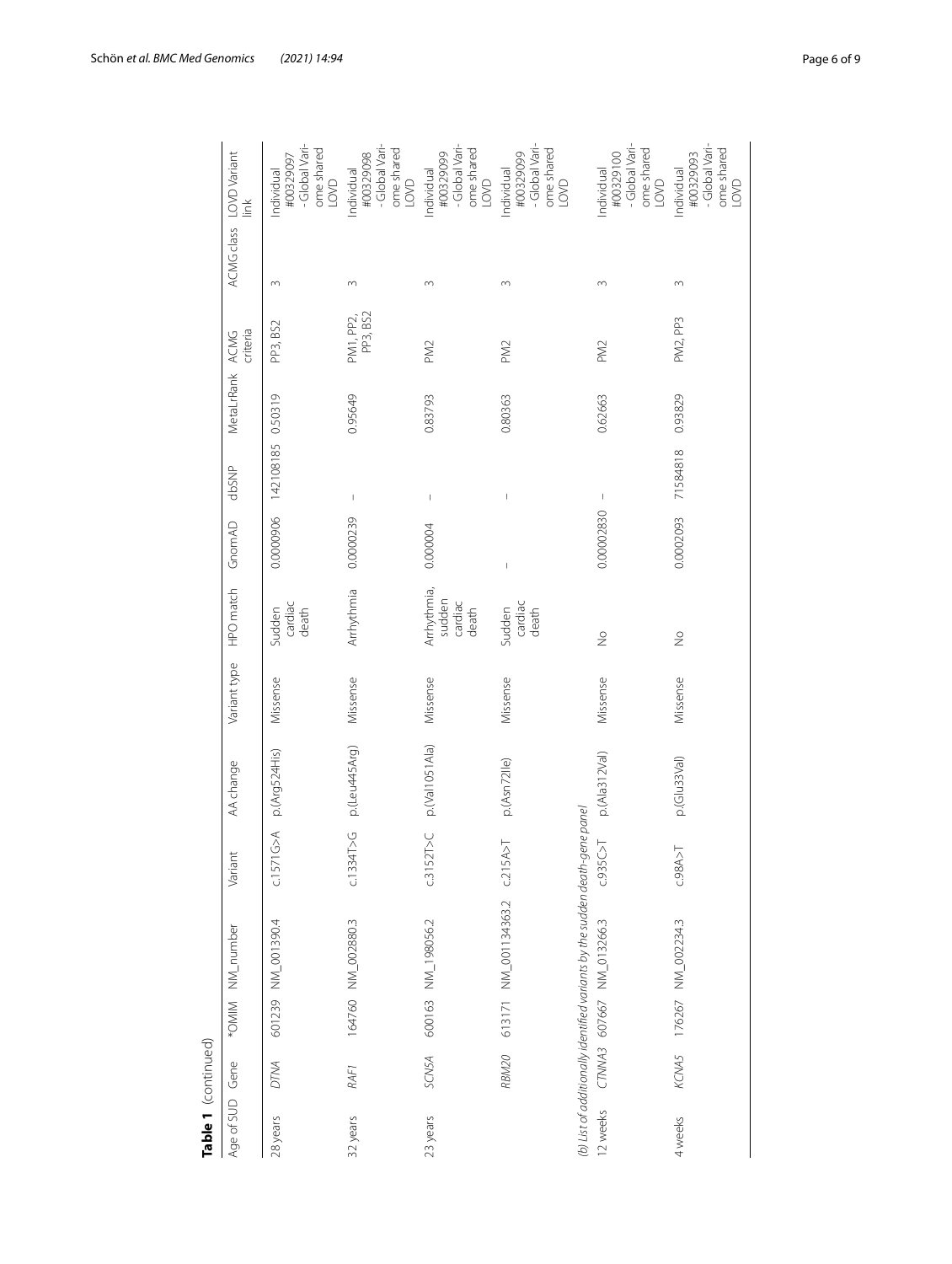| Table 1 (continued) |             |                                                                                                          |                                    |                |              |                                           |                |                          |                 |                       |          |                                                                      |
|---------------------|-------------|----------------------------------------------------------------------------------------------------------|------------------------------------|----------------|--------------|-------------------------------------------|----------------|--------------------------|-----------------|-----------------------|----------|----------------------------------------------------------------------|
| Age of SUD Gene     |             | *OMIM NM_number                                                                                          | Variant                            | AA change      | Variant type | HPO match                                 | GnomAD         | dbSNP                    | MetaLrRank ACMG | criteria              |          | ACMG class LOVD Variant<br>$\check{\equiv}$                          |
| 28 years            | <b>DTMA</b> | 601239 NM_001390.4                                                                                       | $\widetilde{\mathbb{G}}$<br>C.1571 | p.(Arg524His)  | Missense     | cardiac<br>death<br>Sudden                | 0.0000906      | 142108185                | 0.50319         | PP3, BS2              | 3        | -Global Vari-<br>ome shared<br>#00329097<br>Individual<br><b>OVO</b> |
| 32 years            | RAF1        | 164760 NM_002880.3                                                                                       | c.1334T > G                        | p.(Leu445Arg)  | Missense     | Arrhythmia                                | 0.0000239      | $\mathord{\text{\rm I}}$ | 0.95649         | PP3, BS2<br>PM1, PP2, | $\sim$   | -Global Vari-<br>ome shared<br>#00329098<br>Individual<br>LOVD       |
| 23 years            | SCN5A       | 600163 NM_198056.2                                                                                       | c.3152T>CC                         | p.(Val1051Ala) | Missense     | Arrhythmia,<br>sudden<br>cardiac<br>death | 0.000004       | I                        | 0.83793         | PM <sub>2</sub>       | $\infty$ | -Global Vari-<br>ome shared<br>#00329099<br>Individual<br>LOVD       |
|                     | RBM20       | 613171 NM_001134363.2                                                                                    | C.215A>T                           | p.(Asn72lle)   | Missense     | cardiac<br>Sudden<br>death                | $\overline{1}$ |                          | 0.80363         | PM <sub>2</sub>       | 3        | -Global Vari-<br>ome shared<br>#00329099<br>Individual<br>LOVD       |
| 2 weeks             |             | (b) List of additionally identified variants by the sudden death-gene panel<br>CTNWA3 607667 NM_013266.3 | C.935C > T                         | p.(Ala312Val)  | Missense     | $\frac{1}{2}$                             | 0.00002830     | $\,$ $\,$                | 0.62663         | PM <sub>2</sub>       | 3        | -Global Vari-<br>ome shared<br>#00329100<br>Individual<br>LOVD       |
| 4 weeks             |             | KCNA5 176267 NM_002234.3                                                                                 | C.98A > T                          | p.(Glu33Val)   | Missense     | $\frac{1}{2}$                             | 0.0002093      | 71584818                 | 0.93829         | PM2, PP3              | 3        | -Global Vari-<br>ome shared<br>#00329093<br>Individual<br>LOVD       |
|                     |             |                                                                                                          |                                    |                |              |                                           |                |                          |                 |                       |          |                                                                      |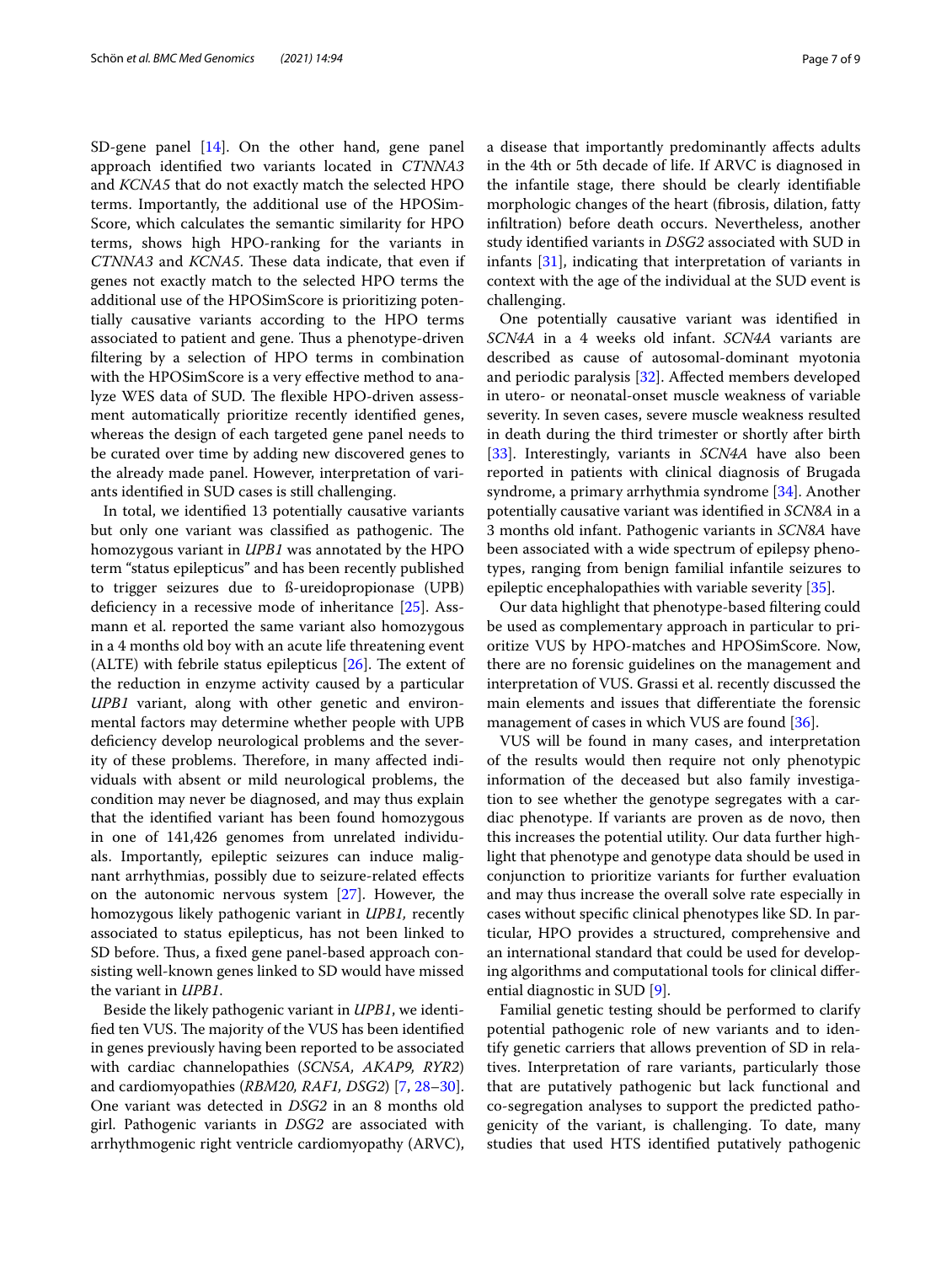SD-gene panel [\[14](#page-8-4)]. On the other hand, gene panel approach identifed two variants located in *CTNNA3* and *KCNA5* that do not exactly match the selected HPO terms. Importantly, the additional use of the HPOSim-Score, which calculates the semantic similarity for HPO terms, shows high HPO-ranking for the variants in *CTNNA3* and *KCNA5*. These data indicate, that even if genes not exactly match to the selected HPO terms the additional use of the HPOSimScore is prioritizing potentially causative variants according to the HPO terms associated to patient and gene. Thus a phenotype-driven fltering by a selection of HPO terms in combination with the HPOSimScore is a very efective method to analyze WES data of SUD. The flexible HPO-driven assessment automatically prioritize recently identifed genes, whereas the design of each targeted gene panel needs to be curated over time by adding new discovered genes to the already made panel. However, interpretation of variants identifed in SUD cases is still challenging.

In total, we identifed 13 potentially causative variants but only one variant was classified as pathogenic. The homozygous variant in *UPB1* was annotated by the HPO term "status epilepticus" and has been recently published to trigger seizures due to ß-ureidopropionase (UPB) deficiency in a recessive mode of inheritance [\[25](#page-8-15)]. Assmann et al. reported the same variant also homozygous in a 4 months old boy with an acute life threatening event (ALTE) with febrile status epilepticus  $[26]$  $[26]$ . The extent of the reduction in enzyme activity caused by a particular *UPB1* variant, along with other genetic and environmental factors may determine whether people with UPB defciency develop neurological problems and the severity of these problems. Therefore, in many affected individuals with absent or mild neurological problems, the condition may never be diagnosed, and may thus explain that the identifed variant has been found homozygous in one of 141,426 genomes from unrelated individuals. Importantly, epileptic seizures can induce malignant arrhythmias, possibly due to seizure-related efects on the autonomic nervous system [[27](#page-8-17)]. However, the homozygous likely pathogenic variant in *UPB1,* recently associated to status epilepticus, has not been linked to SD before. Thus, a fixed gene panel-based approach consisting well-known genes linked to SD would have missed the variant in *UPB1*.

Beside the likely pathogenic variant in *UPB1*, we identified ten VUS. The majority of the VUS has been identified in genes previously having been reported to be associated with cardiac channelopathies (*SCN5A, AKAP9, RYR2*) and cardiomyopathies (*RBM20, RAF1, DSG2*) [[7,](#page-8-18) [28](#page-8-19)[–30](#page-8-20)]. One variant was detected in *DSG2* in an 8 months old girl. Pathogenic variants in *DSG2* are associated with arrhythmogenic right ventricle cardiomyopathy (ARVC), a disease that importantly predominantly afects adults in the 4th or 5th decade of life. If ARVC is diagnosed in the infantile stage, there should be clearly identifable morphologic changes of the heart (fbrosis, dilation, fatty infltration) before death occurs. Nevertheless, another study identifed variants in *DSG2* associated with SUD in infants [\[31](#page-8-21)], indicating that interpretation of variants in context with the age of the individual at the SUD event is challenging.

One potentially causative variant was identifed in *SCN4A* in a 4 weeks old infant. *SCN4A* variants are described as cause of autosomal-dominant myotonia and periodic paralysis [\[32](#page-8-22)]. Afected members developed in utero- or neonatal-onset muscle weakness of variable severity. In seven cases, severe muscle weakness resulted in death during the third trimester or shortly after birth [[33\]](#page-8-23). Interestingly, variants in *SCN4A* have also been reported in patients with clinical diagnosis of Brugada syndrome, a primary arrhythmia syndrome [[34](#page-8-24)]. Another potentially causative variant was identifed in *SCN8A* in a 3 months old infant. Pathogenic variants in *SCN8A* have been associated with a wide spectrum of epilepsy phenotypes, ranging from benign familial infantile seizures to epileptic encephalopathies with variable severity [\[35](#page-8-25)].

Our data highlight that phenotype-based fltering could be used as complementary approach in particular to prioritize VUS by HPO-matches and HPOSimScore. Now, there are no forensic guidelines on the management and interpretation of VUS. Grassi et al. recently discussed the main elements and issues that diferentiate the forensic management of cases in which VUS are found [\[36](#page-8-26)].

VUS will be found in many cases, and interpretation of the results would then require not only phenotypic information of the deceased but also family investigation to see whether the genotype segregates with a cardiac phenotype. If variants are proven as de novo, then this increases the potential utility. Our data further highlight that phenotype and genotype data should be used in conjunction to prioritize variants for further evaluation and may thus increase the overall solve rate especially in cases without specifc clinical phenotypes like SD. In particular, HPO provides a structured, comprehensive and an international standard that could be used for developing algorithms and computational tools for clinical diferential diagnostic in SUD [\[9](#page-8-1)].

Familial genetic testing should be performed to clarify potential pathogenic role of new variants and to identify genetic carriers that allows prevention of SD in relatives. Interpretation of rare variants, particularly those that are putatively pathogenic but lack functional and co-segregation analyses to support the predicted pathogenicity of the variant, is challenging. To date, many studies that used HTS identifed putatively pathogenic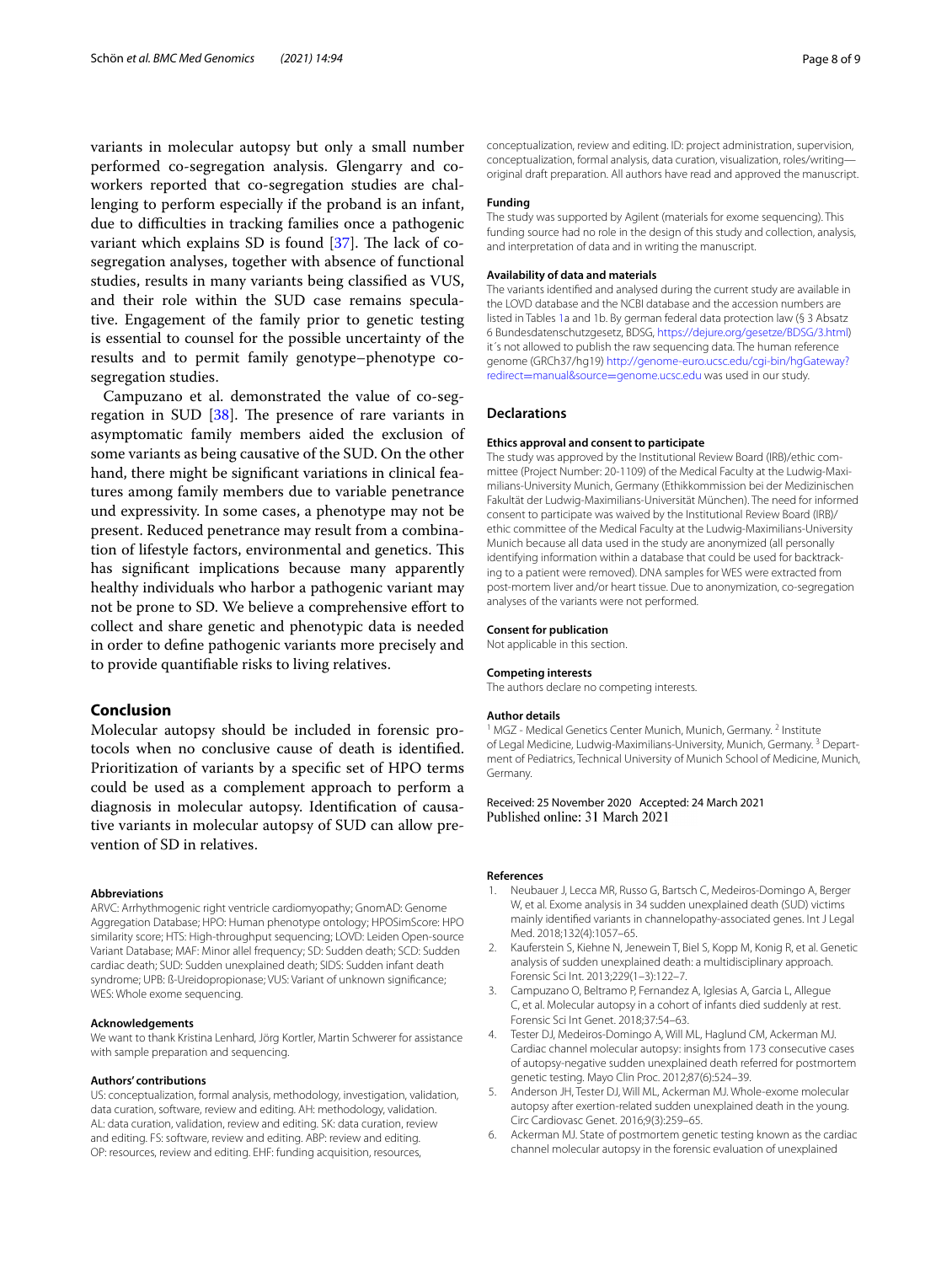variants in molecular autopsy but only a small number performed co-segregation analysis. Glengarry and coworkers reported that co-segregation studies are challenging to perform especially if the proband is an infant, due to difficulties in tracking families once a pathogenic variant which explains SD is found  $[37]$  $[37]$ . The lack of cosegregation analyses, together with absence of functional studies, results in many variants being classifed as VUS, and their role within the SUD case remains speculative. Engagement of the family prior to genetic testing is essential to counsel for the possible uncertainty of the results and to permit family genotype–phenotype cosegregation studies.

Campuzano et al. demonstrated the value of co-segregation in SUD  $[38]$  $[38]$ . The presence of rare variants in asymptomatic family members aided the exclusion of some variants as being causative of the SUD. On the other hand, there might be significant variations in clinical features among family members due to variable penetrance und expressivity. In some cases, a phenotype may not be present. Reduced penetrance may result from a combination of lifestyle factors, environmental and genetics. This has signifcant implications because many apparently healthy individuals who harbor a pathogenic variant may not be prone to SD. We believe a comprehensive efort to collect and share genetic and phenotypic data is needed in order to defne pathogenic variants more precisely and to provide quantifable risks to living relatives.

## **Conclusion**

Molecular autopsy should be included in forensic protocols when no conclusive cause of death is identifed. Prioritization of variants by a specifc set of HPO terms could be used as a complement approach to perform a diagnosis in molecular autopsy. Identifcation of causative variants in molecular autopsy of SUD can allow prevention of SD in relatives.

#### **Abbreviations**

ARVC: Arrhythmogenic right ventricle cardiomyopathy; GnomAD: Genome Aggregation Database; HPO: Human phenotype ontology; HPOSimScore: HPO similarity score; HTS: High-throughput sequencing; LOVD: Leiden Open-source Variant Database; MAF: Minor allel frequency; SD: Sudden death; SCD: Sudden cardiac death; SUD: Sudden unexplained death; SIDS: Sudden infant death syndrome; UPB: ß-Ureidopropionase; VUS: Variant of unknown signifcance; WES: Whole exome sequencing.

#### **Acknowledgements**

We want to thank Kristina Lenhard, Jörg Kortler, Martin Schwerer for assistance with sample preparation and sequencing.

#### **Authors' contributions**

US: conceptualization, formal analysis, methodology, investigation, validation, data curation, software, review and editing. AH: methodology, validation. AL: data curation, validation, review and editing. SK: data curation, review and editing. FS: software, review and editing. ABP: review and editing. OP: resources, review and editing. EHF: funding acquisition, resources,

conceptualization, review and editing. ID: project administration, supervision, conceptualization, formal analysis, data curation, visualization, roles/writing original draft preparation. All authors have read and approved the manuscript.

#### **Funding**

The study was supported by Agilent (materials for exome sequencing). This funding source had no role in the design of this study and collection, analysis, and interpretation of data and in writing the manuscript.

#### **Availability of data and materials**

The variants identifed and analysed during the current study are available in the LOVD database and the NCBI database and the accession numbers are listed in Tables [1](#page-4-0)a and 1b. By german federal data protection law (§ 3 Absatz 6 Bundesdatenschutzgesetz, BDSG, [https://dejure.org/gesetze/BDSG/3.html\)](https://dejure.org/gesetze/BDSG/3.html) it´s not allowed to publish the raw sequencing data. The human reference genome (GRCh37/hg19) [http://genome-euro.ucsc.edu/cgi-bin/hgGateway?](http://genome-euro.ucsc.edu/cgi-bin/hgGateway?redirect=manual&source=genome.ucsc.edu) redirect=manual&source=[genome.ucsc.edu](http://genome-euro.ucsc.edu/cgi-bin/hgGateway?redirect=manual&source=genome.ucsc.edu) was used in our study.

#### **Declarations**

#### **Ethics approval and consent to participate**

The study was approved by the Institutional Review Board (IRB)/ethic committee (Project Number: 20-1109) of the Medical Faculty at the Ludwig-Maximilians-University Munich, Germany (Ethikkommission bei der Medizinischen Fakultät der Ludwig-Maximilians-Universität München). The need for informed consent to participate was waived by the Institutional Review Board (IRB)/ ethic committee of the Medical Faculty at the Ludwig-Maximilians-University Munich because all data used in the study are anonymized (all personally identifying information within a database that could be used for backtracking to a patient were removed). DNA samples for WES were extracted from post-mortem liver and/or heart tissue. Due to anonymization, co-segregation analyses of the variants were not performed.

#### **Consent for publication**

Not applicable in this section.

#### **Competing interests**

The authors declare no competing interests.

#### **Author details**

<sup>1</sup> MGZ - Medical Genetics Center Munich, Munich, Germany.<sup>2</sup> Institute of Legal Medicine, Ludwig-Maximilians-University, Munich, Germany.<sup>3</sup> Department of Pediatrics, Technical University of Munich School of Medicine, Munich, Germany.

## Received: 25 November 2020 Accepted: 24 March 2021

#### **References**

- <span id="page-7-0"></span>1. Neubauer J, Lecca MR, Russo G, Bartsch C, Medeiros-Domingo A, Berger W, et al. Exome analysis in 34 sudden unexplained death (SUD) victims mainly identifed variants in channelopathy-associated genes. Int J Legal Med. 2018;132(4):1057–65.
- 2. Kauferstein S, Kiehne N, Jenewein T, Biel S, Kopp M, Konig R, et al. Genetic analysis of sudden unexplained death: a multidisciplinary approach. Forensic Sci Int. 2013;229(1–3):122–7.
- <span id="page-7-3"></span>3. Campuzano O, Beltramo P, Fernandez A, Iglesias A, Garcia L, Allegue C, et al. Molecular autopsy in a cohort of infants died suddenly at rest. Forensic Sci Int Genet. 2018;37:54–63.
- <span id="page-7-4"></span>4. Tester DJ, Medeiros-Domingo A, Will ML, Haglund CM, Ackerman MJ. Cardiac channel molecular autopsy: insights from 173 consecutive cases of autopsy-negative sudden unexplained death referred for postmortem genetic testing. Mayo Clin Proc. 2012;87(6):524–39.
- <span id="page-7-1"></span>5. Anderson JH, Tester DJ, Will ML, Ackerman MJ. Whole-exome molecular autopsy after exertion-related sudden unexplained death in the young. Circ Cardiovasc Genet. 2016;9(3):259–65.
- <span id="page-7-2"></span>6. Ackerman MJ. State of postmortem genetic testing known as the cardiac channel molecular autopsy in the forensic evaluation of unexplained